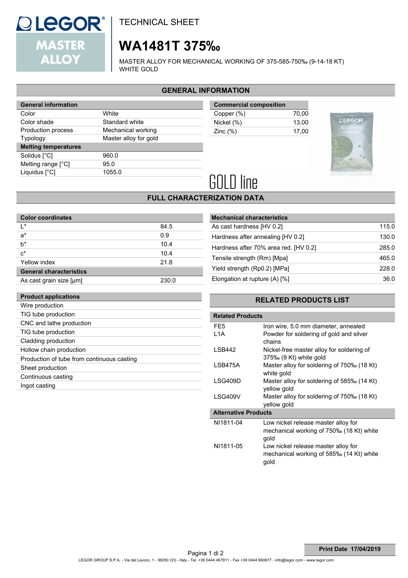

TIG tube production CNC and lathe production TIG tube production Cladding production Hollow chain production

Sheet production Continuous casting Ingot casting

Production of tube from continuous casting

TECHNICAL SHEET

# **WA1481T 375‰**

MASTER ALLOY FOR MECHANICAL WORKING OF 375-585-750‰ (9-14-18 KT) WHITE GOLD

### **GENERAL INFORMATION**

| <b>General information</b>  |                       |  |  |
|-----------------------------|-----------------------|--|--|
| Color                       | White                 |  |  |
| Color shade                 | Standard white        |  |  |
| Production process          | Mechanical working    |  |  |
| <b>Typology</b>             | Master alloy for gold |  |  |
|                             |                       |  |  |
| <b>Melting temperatures</b> |                       |  |  |
| Solidus [°C]                | 960.0                 |  |  |
| Melting range $[^{\circ}C]$ | 95.0                  |  |  |
| Liquidus [°C]               | 1055.0                |  |  |

| 70.00 |
|-------|
| 13.00 |
| 17.00 |
|       |



# **GOLD line**

## **FULL CHARACTERIZATION DATA**

| <b>Color coordinates</b>       |       |
|--------------------------------|-------|
| l *                            | 84.5  |
| $a^*$                          | 0.9   |
| $b^*$                          | 10.4  |
| $c^*$                          | 10.4  |
| Yellow index                   | 21.8  |
| <b>General characteristics</b> |       |
| As cast grain size [µm]        | 230.0 |
|                                |       |
| <b>Product applications</b>    |       |
| Wire production                |       |

| <b>Mechanical characteristics</b>     |       |
|---------------------------------------|-------|
| As cast hardness [HV 0.2]             | 115.0 |
| Hardness after annealing [HV 0.2]     | 130.0 |
| Hardness after 70% area red. [HV 0.2] | 285.0 |
| Tensile strength (Rm) [Mpa]           | 465.0 |
| Yield strength (Rp0.2) [MPa]          | 228.0 |
| Elongation at rupture $(A)$ [%]       | 36.0  |
|                                       |       |

### **RELATED PRODUCTS LIST**

| <b>Related Products</b>     |                                                                                         |  |  |  |
|-----------------------------|-----------------------------------------------------------------------------------------|--|--|--|
| FE <sub>5</sub>             | Iron wire, 5.0 mm diameter, annealed                                                    |  |  |  |
| L <sub>1</sub> A            | Powder for soldering of gold and silver<br>chains                                       |  |  |  |
| LSB442                      | Nickel-free master alloy for soldering of<br>$375\%$ (9 Kt) white gold                  |  |  |  |
| LSB475A                     | Master alloy for soldering of 750‰ (18 Kt)<br>white gold                                |  |  |  |
| LSG409D                     | Master alloy for soldering of 585‰ (14 Kt)<br>yellow gold                               |  |  |  |
| LSG409V                     | Master alloy for soldering of 750‰ (18 Kt)<br>yellow gold                               |  |  |  |
| <b>Alternative Products</b> |                                                                                         |  |  |  |
| NI1811-04                   | Low nickel release master alloy for<br>mechanical working of 750‰ (18 Kt) white<br>gold |  |  |  |
| NI1811-05                   | Low nickel release master alloy for<br>mechanical working of 585‰ (14 Kt) white<br>gold |  |  |  |